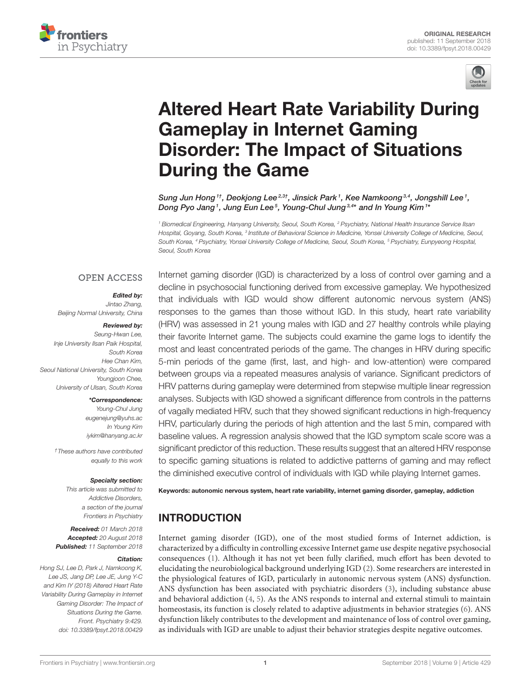



# [Altered Heart Rate Variability During](https://www.frontiersin.org/articles/10.3389/fpsyt.2018.00429/full) Gameplay in Internet Gaming Disorder: The Impact of Situations During the Game

[Sung Jun Hong](http://loop.frontiersin.org/people/607860/overview)  $^{\text{1}\text{t}}$ , [Deokjong Lee](http://loop.frontiersin.org/people/492907/overview) $^{2.3\text{t}}$ , [Jinsick Park](http://loop.frontiersin.org/people/79198/overview)  $^{\text{1}}$ , Kee Namkoong $^{3.4}$ , Jongshill Lee  $^{\text{1}}$ , [Dong Pyo Jang](http://loop.frontiersin.org/people/79188/overview) <sup>1</sup>, Jung Eun Lee 5, [Young-Chul Jung](http://loop.frontiersin.org/people/456605/overview) 3,4\* and [In Young Kim](http://loop.frontiersin.org/people/79189/overview) 1\*

*<sup>1</sup> Biomedical Engineering, Hanyang University, Seoul, South Korea, <sup>2</sup> Psychiatry, National Health Insurance Service Ilsan Hospital, Goyang, South Korea, <sup>3</sup> Institute of Behavioral Science in Medicine, Yonsei University College of Medicine, Seoul, South Korea, <sup>4</sup> Psychiatry, Yonsei University College of Medicine, Seoul, South Korea, <sup>5</sup> Psychiatry, Eunpyeong Hospital, Seoul, South Korea*

### **OPEN ACCESS**

#### Edited by:

*Jintao Zhang, Beijing Normal University, China*

#### Reviewed by:

*Seung-Hwan Lee, Inje University Ilsan Paik Hospital, South Korea Hee Chan Kim, Seoul National University, South Korea Youngjoon Chee, University of Ulsan, South Korea*

#### \*Correspondence:

*Young-Chul Jung [eugenejung@yuhs.ac](mailto:eugenejung@yuhs.ac) In Young Kim [iykim@hanyang.ac.kr](mailto:iykim@hanyang.ac.kr)*

*†These authors have contributed equally to this work*

#### Specialty section:

*This article was submitted to Addictive Disorders, a section of the journal Frontiers in Psychiatry*

Received: *01 March 2018* Accepted: *20 August 2018* Published: *11 September 2018*

#### Citation:

*Hong SJ, Lee D, Park J, Namkoong K, Lee JS, Jang DP, Lee JE, Jung Y-C and Kim IY (2018) Altered Heart Rate Variability During Gameplay in Internet Gaming Disorder: The Impact of Situations During the Game. Front. Psychiatry 9:429. doi: [10.3389/fpsyt.2018.00429](https://doi.org/10.3389/fpsyt.2018.00429)*

Internet gaming disorder (IGD) is characterized by a loss of control over gaming and a decline in psychosocial functioning derived from excessive gameplay. We hypothesized that individuals with IGD would show different autonomic nervous system (ANS) responses to the games than those without IGD. In this study, heart rate variability (HRV) was assessed in 21 young males with IGD and 27 healthy controls while playing their favorite Internet game. The subjects could examine the game logs to identify the most and least concentrated periods of the game. The changes in HRV during specific 5-min periods of the game (first, last, and high- and low-attention) were compared between groups via a repeated measures analysis of variance. Significant predictors of HRV patterns during gameplay were determined from stepwise multiple linear regression analyses. Subjects with IGD showed a significant difference from controls in the patterns of vagally mediated HRV, such that they showed significant reductions in high-frequency HRV, particularly during the periods of high attention and the last 5 min, compared with baseline values. A regression analysis showed that the IGD symptom scale score was a significant predictor of this reduction. These results suggest that an altered HRV response to specific gaming situations is related to addictive patterns of gaming and may reflect the diminished executive control of individuals with IGD while playing Internet games.

Keywords: autonomic nervous system, heart rate variability, internet gaming disorder, gameplay, addiction

# INTRODUCTION

Internet gaming disorder (IGD), one of the most studied forms of Internet addiction, is characterized by a difficulty in controlling excessive Internet game use despite negative psychosocial consequences [\(1\)](#page-5-0). Although it has not yet been fully clarified, much effort has been devoted to elucidating the neurobiological background underlying IGD [\(2\)](#page-5-1). Some researchers are interested in the physiological features of IGD, particularly in autonomic nervous system (ANS) dysfunction. ANS dysfunction has been associated with psychiatric disorders [\(3\)](#page-5-2), including substance abuse and behavioral addiction [\(4,](#page-5-3) [5\)](#page-5-4). As the ANS responds to internal and external stimuli to maintain homeostasis, its function is closely related to adaptive adjustments in behavior strategies [\(6\)](#page-5-5). ANS dysfunction likely contributes to the development and maintenance of loss of control over gaming, as individuals with IGD are unable to adjust their behavior strategies despite negative outcomes.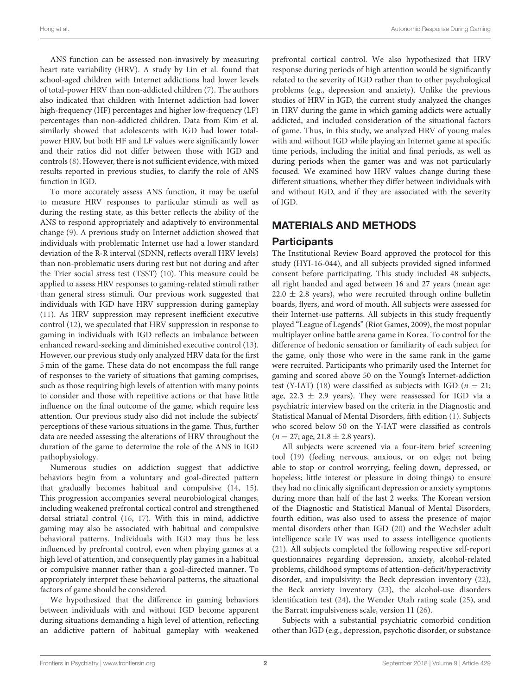ANS function can be assessed non-invasively by measuring heart rate variability (HRV). A study by Lin et al. found that school-aged children with Internet addictions had lower levels of total-power HRV than non-addicted children [\(7\)](#page-5-6). The authors also indicated that children with Internet addiction had lower high-frequency (HF) percentages and higher low-frequency (LF) percentages than non-addicted children. Data from Kim et al. similarly showed that adolescents with IGD had lower totalpower HRV, but both HF and LF values were significantly lower and their ratios did not differ between those with IGD and controls [\(8\)](#page-5-7). However, there is not sufficient evidence, with mixed results reported in previous studies, to clarify the role of ANS function in IGD.

To more accurately assess ANS function, it may be useful to measure HRV responses to particular stimuli as well as during the resting state, as this better reflects the ability of the ANS to respond appropriately and adaptively to environmental change [\(9\)](#page-5-8). A previous study on Internet addiction showed that individuals with problematic Internet use had a lower standard deviation of the R-R interval (SDNN, reflects overall HRV levels) than non-problematic users during rest but not during and after the Trier social stress test (TSST) [\(10\)](#page-5-9). This measure could be applied to assess HRV responses to gaming-related stimuli rather than general stress stimuli. Our previous work suggested that individuals with IGD have HRV suppression during gameplay [\(11\)](#page-5-10). As HRV suppression may represent inefficient executive control [\(12\)](#page-6-0), we speculated that HRV suppression in response to gaming in individuals with IGD reflects an imbalance between enhanced reward-seeking and diminished executive control [\(13\)](#page-6-1). However, our previous study only analyzed HRV data for the first 5 min of the game. These data do not encompass the full range of responses to the variety of situations that gaming comprises, such as those requiring high levels of attention with many points to consider and those with repetitive actions or that have little influence on the final outcome of the game, which require less attention. Our previous study also did not include the subjects' perceptions of these various situations in the game. Thus, further data are needed assessing the alterations of HRV throughout the duration of the game to determine the role of the ANS in IGD pathophysiology.

Numerous studies on addiction suggest that addictive behaviors begin from a voluntary and goal-directed pattern that gradually becomes habitual and compulsive [\(14,](#page-6-2) [15\)](#page-6-3). This progression accompanies several neurobiological changes, including weakened prefrontal cortical control and strengthened dorsal striatal control [\(16,](#page-6-4) [17\)](#page-6-5). With this in mind, addictive gaming may also be associated with habitual and compulsive behavioral patterns. Individuals with IGD may thus be less influenced by prefrontal control, even when playing games at a high level of attention, and consequently play games in a habitual or compulsive manner rather than a goal-directed manner. To appropriately interpret these behavioral patterns, the situational factors of game should be considered.

We hypothesized that the difference in gaming behaviors between individuals with and without IGD become apparent during situations demanding a high level of attention, reflecting an addictive pattern of habitual gameplay with weakened prefrontal cortical control. We also hypothesized that HRV response during periods of high attention would be significantly related to the severity of IGD rather than to other psychological problems (e.g., depression and anxiety). Unlike the previous studies of HRV in IGD, the current study analyzed the changes in HRV during the game in which gaming addicts were actually addicted, and included consideration of the situational factors of game. Thus, in this study, we analyzed HRV of young males with and without IGD while playing an Internet game at specific time periods, including the initial and final periods, as well as during periods when the gamer was and was not particularly focused. We examined how HRV values change during these different situations, whether they differ between individuals with and without IGD, and if they are associated with the severity of IGD.

### MATERIALS AND METHODS

### **Participants**

The Institutional Review Board approved the protocol for this study (HYI-16-044), and all subjects provided signed informed consent before participating. This study included 48 subjects, all right handed and aged between 16 and 27 years (mean age:  $22.0 \pm 2.8$  years), who were recruited through online bulletin boards, flyers, and word of mouth. All subjects were assessed for their Internet-use patterns. All subjects in this study frequently played "League of Legends" (Riot Games, 2009), the most popular multiplayer online battle arena game in Korea. To control for the difference of hedonic sensation or familiarity of each subject for the game, only those who were in the same rank in the game were recruited. Participants who primarily used the Internet for gaming and scored above 50 on the Young's Internet-addiction test (Y-IAT) [\(18\)](#page-6-6) were classified as subjects with IGD ( $n = 21$ ; age,  $22.3 \pm 2.9$  years). They were reassessed for IGD via a psychiatric interview based on the criteria in the Diagnostic and Statistical Manual of Mental Disorders, fifth edition [\(1\)](#page-5-0). Subjects who scored below 50 on the Y-IAT were classified as controls  $(n = 27; \text{ age}, 21.8 \pm 2.8 \text{ years}).$ 

All subjects were screened via a four-item brief screening tool [\(19\)](#page-6-7) (feeling nervous, anxious, or on edge; not being able to stop or control worrying; feeling down, depressed, or hopeless; little interest or pleasure in doing things) to ensure they had no clinically significant depression or anxiety symptoms during more than half of the last 2 weeks. The Korean version of the Diagnostic and Statistical Manual of Mental Disorders, fourth edition, was also used to assess the presence of major mental disorders other than IGD [\(20\)](#page-6-8) and the Wechsler adult intelligence scale IV was used to assess intelligence quotients [\(21\)](#page-6-9). All subjects completed the following respective self-report questionnaires regarding depression, anxiety, alcohol-related problems, childhood symptoms of attention-deficit/hyperactivity disorder, and impulsivity: the Beck depression inventory [\(22\)](#page-6-10), the Beck anxiety inventory [\(23\)](#page-6-11), the alcohol-use disorders identification test [\(24\)](#page-6-12), the Wender Utah rating scale [\(25\)](#page-6-13), and the Barratt impulsiveness scale, version 11 [\(26\)](#page-6-14).

Subjects with a substantial psychiatric comorbid condition other than IGD (e.g., depression, psychotic disorder, or substance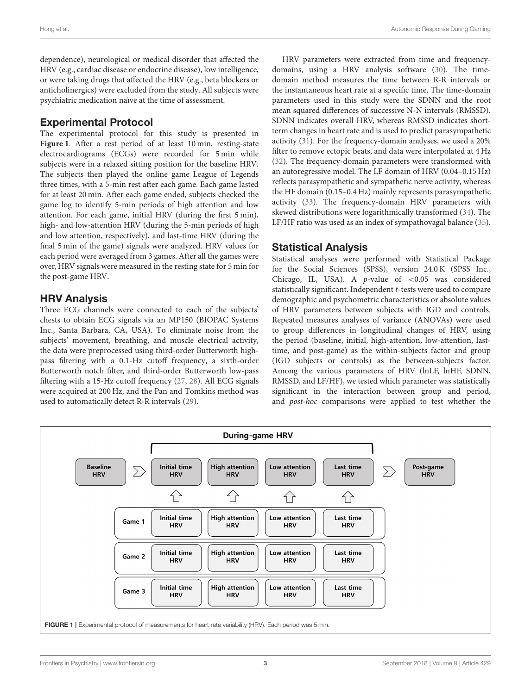dependence), neurological or medical disorder that affected the HRV (e.g., cardiac disease or endocrine disease), low intelligence, or were taking drugs that affected the HRV (e.g., beta blockers or anticholinergics) were excluded from the study. All subjects were psychiatric medication naïve at the time of assessment.

# Experimental Protocol

The experimental protocol for this study is presented in **[Figure 1](#page-2-0)**. After a rest period of at least 10 min, resting-state electrocardiograms (ECGs) were recorded for 5 min while subjects were in a relaxed sitting position for the baseline HRV. The subjects then played the online game League of Legends three times, with a 5-min rest after each game. Each game lasted for at least 20 min. After each game ended, subjects checked the game log to identify 5-min periods of high attention and low attention. For each game, initial HRV (during the first 5 min), high- and low-attention HRV (during the 5-min periods of high and low attention, respectively), and last-time HRV (during the final 5 min of the game) signals were analyzed. HRV values for each period were averaged from 3 games. After all the games were over, HRV signals were measured in the resting state for 5 min for the post-game HRV.

# HRV Analysis

Three ECG channels were connected to each of the subjects' chests to obtain ECG signals via an MP150 (BIOPAC Systems Inc., Santa Barbara, CA, USA). To eliminate noise from the subjects' movement, breathing, and muscle electrical activity, the data were preprocessed using third-order Butterworth highpass filtering with a 0.1-Hz cutoff frequency, a sixth-order Butterworth notch filter, and third-order Butterworth low-pass filtering with a 15-Hz cutoff frequency [\(27,](#page-6-15) [28\)](#page-6-16). All ECG signals were acquired at 200 Hz, and the Pan and Tomkins method was used to automatically detect R-R intervals [\(29\)](#page-6-17).

HRV parameters were extracted from time and frequencydomains, using a HRV analysis software [\(30\)](#page-6-18). The timedomain method measures the time between R-R intervals or the instantaneous heart rate at a specific time. The time-domain parameters used in this study were the SDNN and the root mean squared differences of successive N-N intervals (RMSSD). SDNN indicates overall HRV, whereas RMSSD indicates shortterm changes in heart rate and is used to predict parasympathetic activity [\(31\)](#page-6-19). For the frequency-domain analyses, we used a 20% filter to remove ectopic beats, and data were interpolated at 4 Hz [\(32\)](#page-6-20). The frequency-domain parameters were transformed with an autoregressive model. The LF domain of HRV (0.04–0.15 Hz) reflects parasympathetic and sympathetic nerve activity, whereas the HF domain (0.15–0.4 Hz) mainly represents parasympathetic activity [\(33\)](#page-6-21). The frequency-domain HRV parameters with skewed distributions were logarithmically transformed [\(34\)](#page-6-22). The LF/HF ratio was used as an index of sympathovagal balance [\(35\)](#page-6-23).

# Statistical Analysis

Statistical analyses were performed with Statistical Package for the Social Sciences (SPSS), version 24.0 K (SPSS Inc., Chicago, IL, USA). A p-value of  $< 0.05$  was considered statistically significant. Independent t-tests were used to compare demographic and psychometric characteristics or absolute values of HRV parameters between subjects with IGD and controls. Repeated measures analyses of variance (ANOVAs) were used to group differences in longitudinal changes of HRV, using the period (baseline, initial, high-attention, low-attention, lasttime, and post-game) as the within-subjects factor and group (IGD subjects or controls) as the between-subjects factor. Among the various parameters of HRV (lnLF, lnHF, SDNN, RMSSD, and LF/HF), we tested which parameter was statistically significant in the interaction between group and period, and post-hoc comparisons were applied to test whether the

<span id="page-2-0"></span>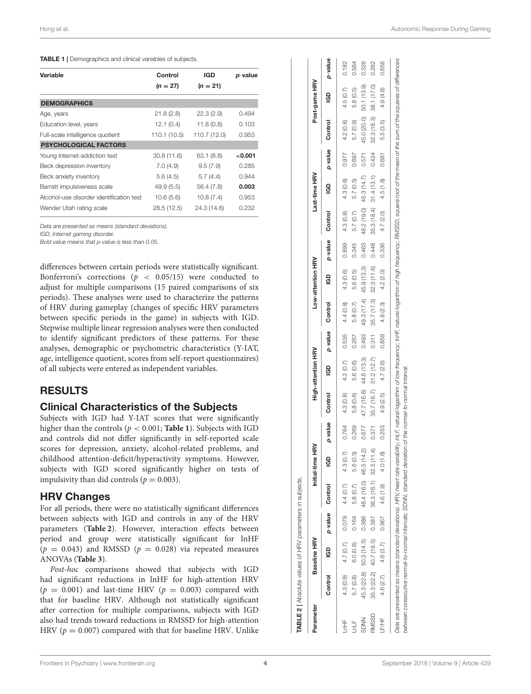#### <span id="page-3-0"></span>TABLE 1 | Demographics and clinical variables of subjects.

| Variable                                 | Control      | <b>IGD</b>   | p-value |
|------------------------------------------|--------------|--------------|---------|
|                                          | $(n = 27)$   | $(n = 21)$   |         |
| <b>DEMOGRAPHICS</b>                      |              |              |         |
| Age, years                               | 21.8(2.8)    | 22.3(2.9)    | 0.494   |
| Education level, years                   | 12.1(0.4)    | 11.8(0.8)    | 0.103   |
| Full-scale intelligence quotient         | 110.1 (10.5) | 110.7 (12.0) | 0.953   |
| <b>PSYCHOLOGICAL FACTORS</b>             |              |              |         |
| Young Internet-addiction test            | 30.8(11.6)   | 63.1(8.8)    | < 0.001 |
| Beck depression inventory                | 7.0(4.9)     | 9.5(7.9)     | 0.285   |
| Beck anxiety inventory                   | 5.6(4.5)     | 5.7(4.4)     | 0.944   |
| Barratt impulsiveness scale              | 49.9(5.5)    | 56.4 (7.8)   | 0.003   |
| Alcohol-use disorder identification test | 10.6(5.6)    | 10.8(7.4)    | 0.953   |
| Wender Utah rating scale                 | 28.5(12.5)   | 24.3 (14.6)  | 0.232   |

*Data are presented as means (standard deviations).*

*IGD, Internet gaming disorder.*

*Bold value means that p-value is less than 0.05.*

differences between certain periods were statistically significant. Bonferroni's corrections ( $p < 0.05/15$ ) were conducted to adjust for multiple comparisons (15 paired comparisons of six periods). These analyses were used to characterize the patterns of HRV during gameplay (changes of specific HRV parameters between specific periods in the game) in subjects with IGD. Stepwise multiple linear regression analyses were then conducted to identify significant predictors of these patterns. For these analyses, demographic or psychometric characteristics (Y-IAT, age, intelligence quotient, scores from self-report questionnaires) of all subjects were entered as independent variables.

# RESULTS

### Clinical Characteristics of the Subjects

Subjects with IGD had Y-IAT scores that were significantly higher than the controls (p < 0.001; **[Table 1](#page-3-0)**). Subjects with IGD and controls did not differ significantly in self-reported scale scores for depression, anxiety, alcohol-related problems, and childhood attention-deficit/hyperactivity symptoms. However, subjects with IGD scored significantly higher on tests of impulsivity than did controls ( $p = 0.003$ ).

### HRV Changes

For all periods, there were no statistically significant differences between subjects with IGD and controls in any of the HRV parameters (**[Table 2](#page-3-1)**). However, interaction effects between period and group were statistically significant for lnHF  $(p = 0.043)$  and RMSSD  $(p = 0.028)$  via repeated measures ANOVAs (**[Table 3](#page-4-0)**).

Post-hoc comparisons showed that subjects with IGD had significant reductions in lnHF for high-attention HRV  $(p = 0.001)$  and last-time HRV  $(p = 0.003)$  compared with that for baseline HRV. Although not statistically significant after correction for multiple comparisons, subjects with IGD also had trends toward reductions in RMSSD for high-attention HRV ( $p = 0.007$ ) compared with that for baseline HRV. Unlike

|                    | S               |
|--------------------|-----------------|
| ost-game HR        | ලි              |
|                    | Control         |
|                    | p-valu          |
| t-time HR          | $\frac{1}{2}$   |
|                    | <b>Control</b>  |
|                    | n-value         |
| -w-attention HR    | ලි              |
|                    | Control         |
|                    | n-value         |
| "-h-attention Hrv  | $\frac{1}{2}$   |
|                    | iontrol         |
|                    | -value          |
| ≧<br>⊾<br>tial-tim | ₫               |
|                    | ١<br>Ć<br>ontro |
| aseline HR         | valu            |
|                    | $\frac{1}{2}$   |
|                    | ontrol          |
| metel              |                 |

p-value

Control  $4.2(0.8)$ 

p-value 0.977 n 607

<span id="page-3-1"></span>TABLE 2 | Absolute values of HRV parameters in subjects.

**[ABLE 2** | Absolute values of HRV parameters in subjects

| ŧ             | 4.3 (0.9)                                                                                                                                                                                                         | 4.7(0.7)                                                                               | 0.079 | 4.4 (0.7) | (2.0)<br>4.3(           | 0.764 | 4.3(0.8)  | 4.2(0.7)                | 0.535      | 4.4 (0.8)                                                   | 4.3 (0.6)                     | 0.899 | 4.3(0.8) | 4.3 (0.6)                                                    | 0.977 | 4.2 (0.8) | 4.5(0.7)                | 0.182 |
|---------------|-------------------------------------------------------------------------------------------------------------------------------------------------------------------------------------------------------------------|----------------------------------------------------------------------------------------|-------|-----------|-------------------------|-------|-----------|-------------------------|------------|-------------------------------------------------------------|-------------------------------|-------|----------|--------------------------------------------------------------|-------|-----------|-------------------------|-------|
| $\frac{1}{5}$ | 5.7 (0.8)                                                                                                                                                                                                         | 6.0(0.6)                                                                               | 0.164 | 5.8(0.7)  | (5,0)<br>5.6            | 0.269 | 5.8 (0.6) | 5.6 (0.6)               | 0.267      | 5.8 (0.7)                                                   | 5.6 (0.5)                     | 0.345 | 5.7(0.7) | 5.7(0.5)                                                     | 0.697 | 5.7 (0.9) | 5.8(0.5)                | 0.564 |
| <b>NNUS</b>   |                                                                                                                                                                                                                   | 45.3 (22.8) 50.3 (14.5)                                                                | 0.386 |           | 48.4 (16.0) 46.5 (14.2) | 0.677 |           | 47.7 (16.6) 44.6 (13.3) | $-100.493$ |                                                             | 49.3 (17.4) 45.9 (13.3) 0.463 |       |          | 48.2 (19.0) 45.3 (14.7) 0.571                                |       |           | 45.0 (20.0) 50.1 (13.9) | 0.326 |
| RMSSD         |                                                                                                                                                                                                                   | 35.3 (22.2) 40.7 (19.5)                                                                | 0.387 |           | 36.3 (16.1) 32.5 (11.4) | 0.371 |           |                         |            | 35.7 (16.7) 31.2 (12.7) 0.311 35.7 (17.3) 32.3 (11.6) 0.448 |                               |       |          |                                                              |       |           | 32.3 (18.3) 38.1 (17.0) | 0.262 |
| F/HF          |                                                                                                                                                                                                                   | 4.6 (2.7) $4.6(3.7)$ $0.967$ $4.6(1.9)$ $4.0(1.6)$ $0.253$ $4.9(2.5)$ $4.7(2.6)$ 0.859 |       |           |                         |       |           |                         |            |                                                             | 4.8 $(2.3)$ 4.2 $(2.0)$ 0.336 |       |          | 35.3 (18.4) 31.4 (13.1) 0.424 (<br>4.7 (2.0) 4.5 (1.8) 0.681 |       |           | 5.5 (3.5) 4.9 (4.8)     | 0.656 |
|               | Data are presented as means (standard deviations). HRV, heart rate variability, inLF, natural logaritim of high inclumate high frequency; RMSSD, square root of the mean of the sun of the squares of differences |                                                                                        |       |           |                         |       |           |                         |            |                                                             |                               |       |          |                                                              |       |           |                         |       |
|               | etween consecutive normal-to-normal intervals; SDNN, standard deviation of the normal-to-normal interval.                                                                                                         |                                                                                        |       |           |                         |       |           |                         |            |                                                             |                               |       |          |                                                              |       |           |                         |       |
|               |                                                                                                                                                                                                                   |                                                                                        |       |           |                         |       |           |                         |            |                                                             |                               |       |          |                                                              |       |           |                         |       |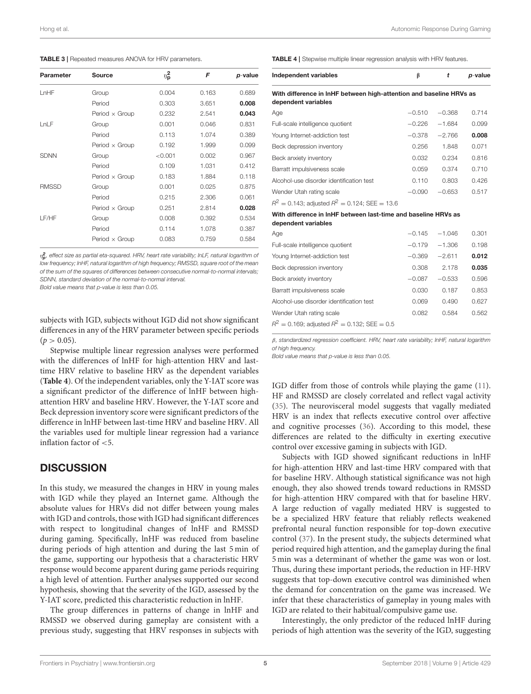| <b>Source</b>         | $\n  0$ $\n  p$ | F     | p-value |
|-----------------------|-----------------|-------|---------|
| Group                 | 0.004           | 0.163 | 0.689   |
| Period                | 0.303           | 3.651 | 0.008   |
| Period $\times$ Group | 0.232           | 2.541 | 0.043   |
| Group                 | 0.001           | 0.046 | 0.831   |
| Period                | 0.113           | 1.074 | 0.389   |
| Period $\times$ Group | 0.192           | 1.999 | 0.099   |
| Group                 | < 0.001         | 0.002 | 0.967   |
| Period                | 0.109           | 1.031 | 0.412   |
| Period $\times$ Group | 0.183           | 1.884 | 0.118   |
| Group                 | 0.001           | 0.025 | 0.875   |
| Period                | 0.215           | 2.306 | 0.061   |
| Period $\times$ Group | 0.251           | 2.814 | 0.028   |
| Group                 | 0.008           | 0.392 | 0.534   |
| Period                | 0.114           | 1.078 | 0.387   |
| Period $\times$ Group | 0.083           | 0.759 | 0.584   |
|                       |                 |       |         |

<span id="page-4-0"></span>TABLE 3 | Repeated measures ANOVA for HRV parameters.

 $\eta_{\bm p}^{\bm 2}$ , effect size as partial eta-squared. HRV, heart rate variability; InLF, natural logarithm of *low frequency; lnHF, natural logarithm of high frequency; RMSSD, square root of the mean of the sum of the squares of differences between consecutive normal-to-normal intervals; SDNN, standard deviation of the normal-to-normal interval.*

*Bold value means that p-value is less than 0.05.*

subjects with IGD, subjects without IGD did not show significant differences in any of the HRV parameter between specific periods  $(p > 0.05)$ .

Stepwise multiple linear regression analyses were performed with the differences of lnHF for high-attention HRV and lasttime HRV relative to baseline HRV as the dependent variables (**[Table 4](#page-4-1)**). Of the independent variables, only the Y-IAT score was a significant predictor of the difference of lnHF between highattention HRV and baseline HRV. However, the Y-IAT score and Beck depression inventory score were significant predictors of the difference in lnHF between last-time HRV and baseline HRV. All the variables used for multiple linear regression had a variance inflation factor of <5.

### **DISCUSSION**

In this study, we measured the changes in HRV in young males with IGD while they played an Internet game. Although the absolute values for HRVs did not differ between young males with IGD and controls, those with IGD had significant differences with respect to longitudinal changes of lnHF and RMSSD during gaming. Specifically, lnHF was reduced from baseline during periods of high attention and during the last 5 min of the game, supporting our hypothesis that a characteristic HRV response would become apparent during game periods requiring a high level of attention. Further analyses supported our second hypothesis, showing that the severity of the IGD, assessed by the Y-IAT score, predicted this characteristic reduction in lnHF.

The group differences in patterns of change in lnHF and RMSSD we observed during gameplay are consistent with a previous study, suggesting that HRV responses in subjects with <span id="page-4-1"></span>TABLE 4 | Stepwise multiple linear regression analysis with HRV features.

| Independent variables                                                                      | β        | t        | p-value |
|--------------------------------------------------------------------------------------------|----------|----------|---------|
| With difference in InHF between high-attention and baseline HRVs as<br>dependent variables |          |          |         |
| Age                                                                                        | $-0.510$ | $-0.368$ | 0.714   |
| Full-scale intelligence quotient                                                           | $-0.226$ | $-1.684$ | 0.099   |
| Young Internet-addiction test                                                              | $-0.378$ | $-2.766$ | 0.008   |
| Beck depression inventory                                                                  | 0.256    | 1.848    | 0.071   |
| Beck anxiety inventory                                                                     | 0.032    | 0.234    | 0.816   |
| Barratt impulsiveness scale                                                                | 0.059    | 0.374    | 0.710   |
| Alcohol-use disorder identification test                                                   | 0.110    | 0.803    | 0.426   |
| Wender Utah rating scale                                                                   | $-0.090$ | $-0.653$ | 0.517   |
| $R^2 = 0.143$ ; adjusted $R^2 = 0.124$ ; SEE = 13.6                                        |          |          |         |
| With difference in InHF between last-time and baseline HRVs as<br>dependent variables      |          |          |         |
| Age                                                                                        | $-0.145$ | $-1.046$ | 0.301   |

| Age                                                | $-0.145$ | $-1.046$ | 0.301 |
|----------------------------------------------------|----------|----------|-------|
| Full-scale intelligence quotient                   | $-0.179$ | $-1.306$ | 0.198 |
| Young Internet-addiction test                      | $-0.369$ | $-2.611$ | 0.012 |
| Beck depression inventory                          | 0.308    | 2.178    | 0.035 |
| Beck anxiety inventory                             | $-0.087$ | $-0.533$ | 0.596 |
| Barratt impulsiveness scale                        | 0.030    | 0.187    | 0.853 |
| Alcohol-use disorder identification test           | 0.069    | 0.490    | 0.627 |
| Wender Utah rating scale                           | 0.082    | 0.584    | 0.562 |
| $R^2 = 0.169$ ; adjusted $R^2 = 0.132$ ; SEE = 0.5 |          |          |       |

β*, standardized regression coefficient. HRV, heart rate variability; lnHF, natural logarithm of high frequency.*

*Bold value means that p-value is less than 0.05.*

IGD differ from those of controls while playing the game [\(11\)](#page-5-10). HF and RMSSD are closely correlated and reflect vagal activity [\(35\)](#page-6-23). The neurovisceral model suggests that vagally mediated HRV is an index that reflects executive control over affective and cognitive processes [\(36\)](#page-6-24). According to this model, these differences are related to the difficulty in exerting executive control over excessive gaming in subjects with IGD.

Subjects with IGD showed significant reductions in lnHF for high-attention HRV and last-time HRV compared with that for baseline HRV. Although statistical significance was not high enough, they also showed trends toward reductions in RMSSD for high-attention HRV compared with that for baseline HRV. A large reduction of vagally mediated HRV is suggested to be a specialized HRV feature that reliably reflects weakened prefrontal neural function responsible for top-down executive control [\(37\)](#page-6-25). In the present study, the subjects determined what period required high attention, and the gameplay during the final 5 min was a determinant of whether the game was won or lost. Thus, during these important periods, the reduction in HF-HRV suggests that top-down executive control was diminished when the demand for concentration on the game was increased. We infer that these characteristics of gameplay in young males with IGD are related to their habitual/compulsive game use.

Interestingly, the only predictor of the reduced lnHF during periods of high attention was the severity of the IGD, suggesting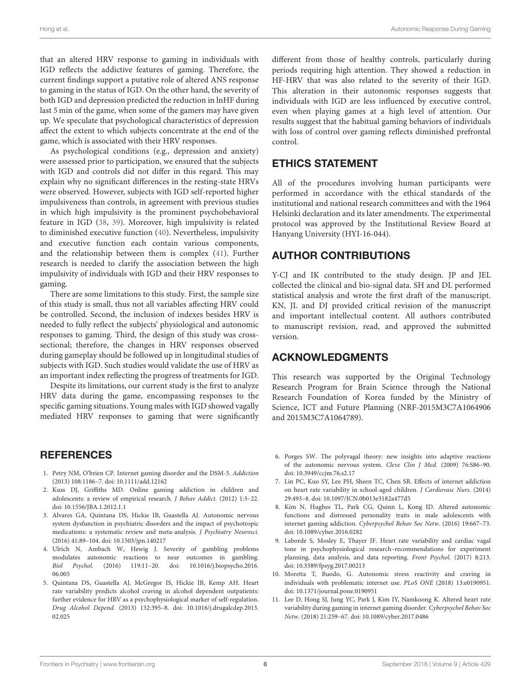that an altered HRV response to gaming in individuals with IGD reflects the addictive features of gaming. Therefore, the current findings support a putative role of altered ANS response to gaming in the status of IGD. On the other hand, the severity of both IGD and depression predicted the reduction in lnHF during last 5 min of the game, when some of the gamers may have given up. We speculate that psychological characteristics of depression affect the extent to which subjects concentrate at the end of the game, which is associated with their HRV responses.

As psychological conditions (e.g., depression and anxiety) were assessed prior to participation, we ensured that the subjects with IGD and controls did not differ in this regard. This may explain why no significant differences in the resting-state HRVs were observed. However, subjects with IGD self-reported higher impulsiveness than controls, in agreement with previous studies in which high impulsivity is the prominent psychobehavioral feature in IGD [\(38,](#page-6-26) [39\)](#page-6-27). Moreover, high impulsivity is related to diminished executive function [\(40\)](#page-6-28). Nevertheless, impulsivity and executive function each contain various components, and the relationship between them is complex [\(41\)](#page-6-29). Further research is needed to clarify the association between the high impulsivity of individuals with IGD and their HRV responses to gaming.

There are some limitations to this study. First, the sample size of this study is small, thus not all variables affecting HRV could be controlled. Second, the inclusion of indexes besides HRV is needed to fully reflect the subjects' physiological and autonomic responses to gaming. Third, the design of this study was crosssectional; therefore, the changes in HRV responses observed during gameplay should be followed up in longitudinal studies of subjects with IGD. Such studies would validate the use of HRV as an important index reflecting the progress of treatments for IGD.

Despite its limitations, our current study is the first to analyze HRV data during the game, encompassing responses to the specific gaming situations. Young males with IGD showed vagally mediated HRV responses to gaming that were significantly

### **REFERENCES**

- <span id="page-5-0"></span>1. Petry NM, O'brien CP. Internet gaming disorder and the DSM-5. Addiction (2013) 108:1186–7. doi: [10.1111/add.12162](https://doi.org/10.1111/add.12162)
- <span id="page-5-1"></span>2. Kuss DJ, Griffiths MD. Online gaming addiction in children and adolescents: a review of empirical research. J Behav Addict. (2012) 1:3–22. doi: [10.1556/JBA.1.2012.1.1](https://doi.org/10.1556/JBA.1.2012.1.1)
- <span id="page-5-2"></span>3. Alvares GA, Quintana DS, Hickie IB, Guastella AJ. Autonomic nervous system dysfunction in psychiatric disorders and the impact of psychotropic medications: a systematic review and meta-analysis. J Psychiatry Neurosci. (2016) 41:89–104. doi: [10.1503/jpn.140217](https://doi.org/10.1503/jpn.140217)
- <span id="page-5-3"></span>4. Ulrich N, Ambach W, Hewig J. Severity of gambling problems modulates autonomic reactions to near outcomes in gambling. Biol Psychol. [\(2016\) 119:11–20. doi: 10.1016/j.biopsycho.2016.](https://doi.org/10.1016/j.biopsycho.2016.06.005) 06.005
- <span id="page-5-4"></span>5. Quintana DS, Guastella AJ, McGregor IS, Hickie IB, Kemp AH. Heart rate variability predicts alcohol craving in alcohol dependent outpatients: further evidence for HRV as a psychophysiological marker of self-regulation. Drug Alcohol Depend. [\(2013\) 132:395–8. doi: 10.1016/j.drugalcdep.2013.](https://doi.org/10.1016/j.drugalcdep.2013.02.025) 02.025

different from those of healthy controls, particularly during periods requiring high attention. They showed a reduction in HF-HRV that was also related to the severity of their IGD. This alteration in their autonomic responses suggests that individuals with IGD are less influenced by executive control, even when playing games at a high level of attention. Our results suggest that the habitual gaming behaviors of individuals with loss of control over gaming reflects diminished prefrontal control.

# ETHICS STATEMENT

All of the procedures involving human participants were performed in accordance with the ethical standards of the institutional and national research committees and with the 1964 Helsinki declaration and its later amendments. The experimental protocol was approved by the Institutional Review Board at Hanyang University (HYI-16-044).

# AUTHOR CONTRIBUTIONS

Y-CJ and IK contributed to the study design. JP and JEL collected the clinical and bio-signal data. SH and DL performed statistical analysis and wrote the first draft of the manuscript. KN, JL and DJ provided critical revision of the manuscript and important intellectual content. All authors contributed to manuscript revision, read, and approved the submitted version.

# ACKNOWLEDGMENTS

This research was supported by the Original Technology Research Program for Brain Science through the National Research Foundation of Korea funded by the Ministry of Science, ICT and Future Planning (NRF-2015M3C7A1064906 and 2015M3C7A1064789).

- <span id="page-5-5"></span>6. Porges SW. The polyvagal theory: new insights into adaptive reactions of the autonomic nervous system. Cleve Clin J Med. (2009) 76:S86–90. doi: [10.3949/ccjm.76.s2.17](https://doi.org/10.3949/ccjm.76.s2.17)
- <span id="page-5-6"></span>7. Lin PC, Kuo SY, Lee PH, Sheen TC, Chen SR. Effects of internet addiction on heart rate variability in school-aged children. J Cardiovasc Nurs. (2014) 29:493–8. doi: [10.1097/JCN.0b013e3182a477d5](https://doi.org/10.1097/JCN.0b013e3182a477d5)
- <span id="page-5-7"></span>8. Kim N, Hughes TL, Park CG, Quinn L, Kong ID. Altered autonomic functions and distressed personality traits in male adolescents with internet gaming addiction. Cyberpsychol Behav Soc Netw. (2016) 19:667–73. doi: [10.1089/cyber.2016.0282](https://doi.org/10.1089/cyber.2016.0282)
- <span id="page-5-8"></span>9. Laborde S, Mosley E, Thayer JF. Heart rate variability and cardiac vagal tone in psychophysiological research–recommendations for experiment planning, data analysis, and data reporting. Front Psychol. (2017) 8:213. doi: [10.3389/fpsyg.2017.00213](https://doi.org/10.3389/fpsyg.2017.00213)
- <span id="page-5-9"></span>10. Moretta T, Buodo, G. Autonomic stress reactivity and craving in individuals with problematic internet use. PLoS ONE (2018) 13:e0190951. doi: [10.1371/journal.pone.0190951](https://doi.org/10.1371/journal.pone.0190951)
- <span id="page-5-10"></span>11. Lee D, Hong SJ, Jung YC, Park J, Kim IY, Namkoong K. Altered heart rate variability during gaming in internet gaming disorder. Cyberpsychol Behav Soc Netw. (2018) 21:259–67. doi: [10.1089/cyber.2017.0486](https://doi.org/10.1089/cyber.2017.0486)